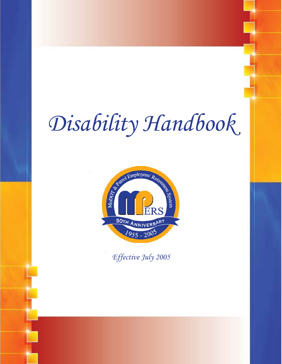# *Disability Handbook*



*Effective July 2005*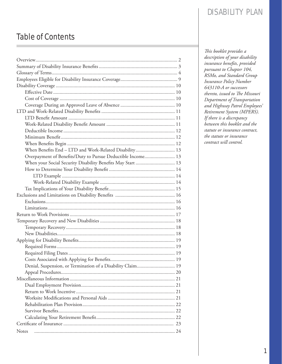# Table of Contents

| When Benefits End - LTD and Work-Related Disability 13      |  |  |  |
|-------------------------------------------------------------|--|--|--|
| Overpayment of Benefits/Duty to Pursue Deductible Income 13 |  |  |  |
| When your Social Security Disability Benefits May Start  13 |  |  |  |
|                                                             |  |  |  |
|                                                             |  |  |  |
|                                                             |  |  |  |
|                                                             |  |  |  |
|                                                             |  |  |  |
|                                                             |  |  |  |
|                                                             |  |  |  |
|                                                             |  |  |  |
|                                                             |  |  |  |
|                                                             |  |  |  |
|                                                             |  |  |  |
|                                                             |  |  |  |
|                                                             |  |  |  |
|                                                             |  |  |  |
|                                                             |  |  |  |
| Denial, Suspension, or Termination of a Disability Claim 19 |  |  |  |
|                                                             |  |  |  |
|                                                             |  |  |  |
|                                                             |  |  |  |
|                                                             |  |  |  |
|                                                             |  |  |  |
|                                                             |  |  |  |
|                                                             |  |  |  |
|                                                             |  |  |  |
|                                                             |  |  |  |
| Notes                                                       |  |  |  |

*Th is booklet provides a description of your disability insurance benefits*, *provided pursuant to Chapter 104, RSMo, and Standard Group Insurance Policy Number 643110-A or successors thereto, issued to The Missouri Department of Transportation and Highway Patrol Employees' Retirement System (MPERS). If there is a discrepancy between this booklet and the statute or insurance contract, the statute or insurance contract will control.*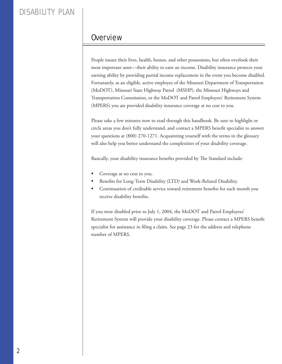### **Overview**

People insure their lives, health, homes, and other possessions, but often overlook their most important asset—their ability to earn an income. Disability insurance protects your earning ability by providing partial income replacement in the event you become disabled. Fortunately, as an eligible, active employee of the Missouri Department of Transportation (MoDOT), Missouri State Highway Patrol (MSHP), the Missouri Highways and Transportation Commission, or the MoDOT and Patrol Employees' Retirement System (MPERS) you are provided disability insurance coverage at no cost to you.

Please take a few minutes now to read through this handbook. Be sure to highlight or circle areas you don't fully understand, and contact a MPERS benefit specialist to answer your questions at (800) 270-1271. Acquainting yourself with the terms in the glossary will also help you better understand the complexities of your disability coverage.

Basically, your disability insurance benefits provided by The Standard include:

- Coverage at no cost to you.
- Benefits for Long-Term Disability (LTD) and Work-Related Disability.
- Continuation of creditable service toward retirement benefits for each month you receive disability benefits.

If you were disabled prior to July 1, 2004, the MoDOT and Patrol Employees' Retirement System will provide your disability coverage. Please contact a MPERS benefit specialist for assistance in filing a claim. See page 23 for the address and telephone number of MPERS.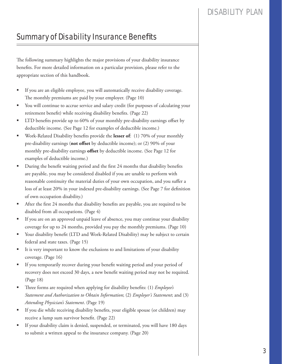# **Summary of Disability Insurance Benefits**

The following summary highlights the major provisions of your disability insurance benefits. For more detailed information on a particular provision, please refer to the appropriate section of this handbook.

- If you are an eligible employee, you will automatically receive disability coverage. The monthly premiums are paid by your employer. (Page 10)
- You will continue to accrue service and salary credit (for purposes of calculating your retirement benefit) while receiving disability benefits. (Page 22)
- **IFF 11** LTD benefits provide up to 60% of your monthly pre-disability earnings offset by deductible income. (See Page 12 for examples of deductible income.)
- Work-Related Disability benefits provide the lesser of: (1) 70% of your monthly pre-disability earnings (not offset by deductible income); or (2) 90% of your monthly pre-disability earnings **offset** by deductible income. (See Page 12 for examples of deductible income.)
- During the benefit waiting period and the first 24 months that disability benefits are payable, you may be considered disabled if you are unable to perform with reasonable continuity the material duties of your own occupation, and you suffer a loss of at least 20% in your indexed pre-disability earnings. (See Page 7 for definition of own occupation disability.)
- After the first 24 months that disability benefits are payable, you are required to be disabled from all occupations. (Page 4)
- If you are on an approved unpaid leave of absence, you may continue your disability coverage for up to 24 months, provided you pay the monthly premiums. (Page 10)
- Your disability benefit (LTD and Work-Related Disability) may be subject to certain federal and state taxes. (Page 15)
- It is very important to know the exclusions to and limitations of your disability coverage. (Page 16)
- If you temporarily recover during your benefit waiting period and your period of recovery does not exceed 30 days, a new benefit waiting period may not be required. (Page 18)
- Three forms are required when applying for disability benefits: (1) *Employee's Statement and Authorization to Obtain Information*; (2) *Employer's Statement*; and (3) *Attending Physician's Statement*. (Page 19)
- If you die while receiving disability benefits, your eligible spouse (or children) may receive a lump sum survivor benefit. (Page 22)
- If your disability claim is denied, suspended, or terminated, you will have 180 days to submit a written appeal to the insurance company. (Page 20)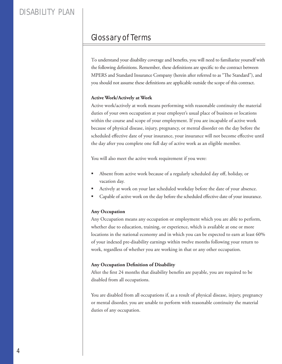## Glossary of Terms

To understand your disability coverage and benefits, you will need to familiarize yourself with the following definitions. Remember, these definitions are specific to the contract between MPERS and Standard Insurance Company (herein after referred to as "The Standard"), and you should not assume these definitions are applicable outside the scope of this contract.

#### **Active Work/Actively at Work**

Active work/actively at work means performing with reasonable continuity the material duties of your own occupation at your employer's usual place of business or locations within the course and scope of your employment. If you are incapable of active work because of physical disease, injury, pregnancy, or mental disorder on the day before the scheduled effective date of your insurance, your insurance will not become effective until the day after you complete one full day of active work as an eligible member.

You will also meet the active work requirement if you were:

- Absent from active work because of a regularly scheduled day off, holiday, or vacation day.
- Actively at work on your last scheduled workday before the date of your absence.
- Capable of active work on the day before the scheduled effective date of your insurance.

#### **Any Occupation**

Any Occupation means any occupation or employment which you are able to perform, whether due to education, training, or experience, which is available at one or more locations in the national economy and in which you can be expected to earn at least 60% of your indexed pre-disability earnings within twelve months following your return to work, regardless of whether you are working in that or any other occupation.

#### **Any Occupation Definition of Disability**

After the first 24 months that disability benefits are payable, you are required to be disabled from all occupations.

You are disabled from all occupations if, as a result of physical disease, injury, pregnancy or mental disorder, you are unable to perform with reasonable continuity the material duties of any occupation.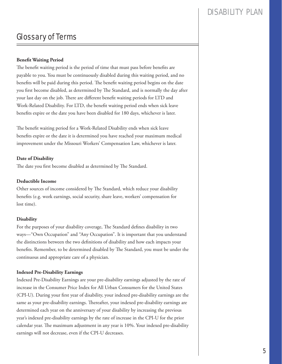### DISARII ITY PLAN

### Glossary of Terms

#### **Benefit Waiting Period**

The benefit waiting period is the period of time that must pass before benefits are payable to you. You must be continuously disabled during this waiting period, and no benefits will be paid during this period. The benefit waiting period begins on the date you first become disabled, as determined by The Standard, and is normally the day after your last day on the job. There are different benefit waiting periods for LTD and Work-Related Disability. For LTD, the benefit waiting period ends when sick leave benefits expire or the date you have been disabled for 180 days, whichever is later.

The benefit waiting period for a Work-Related Disability ends when sick leave benefits expire or the date it is determined you have reached your maximum medical improvement under the Missouri Workers' Compensation Law, whichever is later.

#### **Date of Disability**

The date you first become disabled as determined by The Standard.

#### **Deductible Income**

Other sources of income considered by The Standard, which reduce your disability benefits (e.g. work earnings, social security, share leave, workers' compensation for lost time).

#### **Disability**

For the purposes of your disability coverage, The Standard defines disability in two ways—"Own Occupation" and "Any Occupation". It is important that you understand the distinctions between the two definitions of disability and how each impacts your benefits. Remember, to be determined disabled by The Standard, you must be under the continuous and appropriate care of a physician.

#### **Indexed Pre-Disability Earnings**

Indexed Pre-Disability Earnings are your pre-disability earnings adjusted by the rate of increase in the Consumer Price Index for All Urban Consumers for the United States (CPI-U). During your first year of disability, your indexed pre-disability earnings are the same as your pre-disability earnings. Thereafter, your indexed pre-disability earnings are determined each year on the anniversary of your disability by increasing the previous year's indexed pre-disability earnings by the rate of increase in the CPI-U for the prior calendar year. The maximum adjustment in any year is 10%. Your indexed pre-disability earnings will not decrease, even if the CPI-U decreases.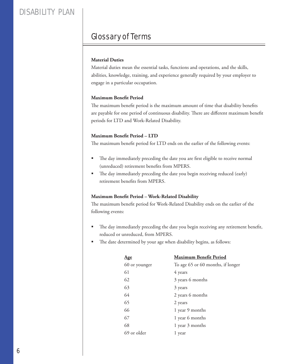# Glossary of Terms

#### **Material Duties**

Material duties mean the essential tasks, functions and operations, and the skills, abilities, knowledge, training, and experience generally required by your employer to engage in a particular occupation.

#### **Maximum Benefit Period**

The maximum benefit period is the maximum amount of time that disability benefits are payable for one period of continuous disability. There are different maximum benefit periods for LTD and Work-Related Disability.

#### **Maximum Benefit Period - LTD**

The maximum benefit period for LTD ends on the earlier of the following events:

- The day immediately preceding the date you are first eligible to receive normal (unreduced) retirement benefits from MPERS.
- The day immediately preceding the date you begin receiving reduced (early) retirement benefits from MPERS.

#### **Maximum Benefi t Period – Work-Related Disability**

The maximum benefit period for Work-Related Disability ends on the earlier of the following events:

- The day immediately preceding the date you begin receiving any retirement benefit, reduced or unreduced, from MPERS.
- The date determined by your age when disability begins, as follows:

| Age           | <b>Maximum Benefit Period</b>     |
|---------------|-----------------------------------|
| 60 or younger | To age 65 or 60 months, if longer |
| 61            | 4 years                           |
| 62            | 3 years 6 months                  |
| 63            | 3 years                           |
| 64            | 2 years 6 months                  |
| 65            | 2 years                           |
| 66            | 1 year 9 months                   |
| 67            | 1 year 6 months                   |
| 68            | 1 year 3 months                   |
| 69 or older   | 1 year                            |
|               |                                   |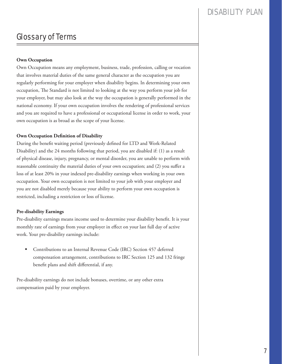### DISARII ITY PLAN

## Glossary of Terms

#### **Own Occupation**

Own Occupation means any employment, business, trade, profession, calling or vocation that involves material duties of the same general character as the occupation you are regularly performing for your employer when disability begins. In determining your own occupation, The Standard is not limited to looking at the way you perform your job for your employer, but may also look at the way the occupation is generally performed in the national economy. If your own occupation involves the rendering of professional services and you are required to have a professional or occupational license in order to work, your own occupation is as broad as the scope of your license.

#### **Own Occupation Definition of Disability**

During the benefit waiting period (previously defined for LTD and Work-Related Disability) and the 24 months following that period, you are disabled if: (1) as a result of physical disease, injury, pregnancy, or mental disorder, you are unable to perform with reasonable continuity the material duties of your own occupation; and (2) you suffer a loss of at least 20% in your indexed pre-disability earnings when working in your own occupation. Your own occupation is not limited to your job with your employer and you are not disabled merely because your ability to perform your own occupation is restricted, including a restriction or loss of license.

#### **Pre-disability Earnings**

Pre-disability earnings means income used to determine your disability benefit. It is your monthly rate of earnings from your employer in effect on your last full day of active work. Your pre-disability earnings include:

 Contributions to an Internal Revenue Code (IRC) Section 457 deferred compensation arrangement, contributions to IRC Section 125 and 132 fringe benefit plans and shift differential, if any.

Pre-disability earnings do not include bonuses, overtime, or any other extra compensation paid by your employer.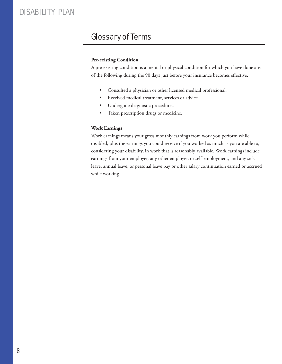# Glossary of Terms

#### **Pre-existing Condition**

A pre-existing condition is a mental or physical condition for which you have done any of the following during the 90 days just before your insurance becomes effective:

- Consulted a physician or other licensed medical professional.
- Received medical treatment, services or advice.
- Undergone diagnostic procedures.
- Taken prescription drugs or medicine.

#### **Work Earnings**

Work earnings means your gross monthly earnings from work you perform while disabled, plus the earnings you could receive if you worked as much as you are able to, considering your disability, in work that is reasonably available. Work earnings include earnings from your employer, any other employer, or self-employment, and any sick leave, annual leave, or personal leave pay or other salary continuation earned or accrued while working.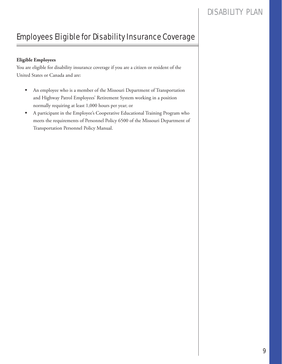# Employees Eligible for Disability Insurance Coverage

#### **Eligible Employees**

You are eligible for disability insurance coverage if you are a citizen or resident of the United States or Canada and are:

- An employee who is a member of the Missouri Department of Transportation and Highway Patrol Employees' Retirement System working in a position normally requiring at least 1,000 hours per year; or
- A participant in the Employee's Cooperative Educational Training Program who meets the requirements of Personnel Policy 6500 of the Missouri Department of Transportation Personnel Policy Manual.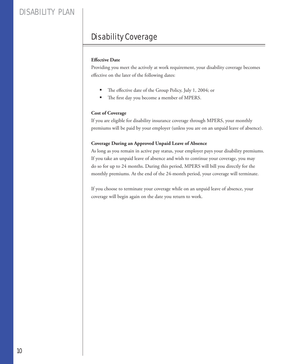# Disability Coverage

#### **Effective Date**

Providing you meet the actively at work requirement, your disability coverage becomes effective on the later of the following dates:

- The effective date of the Group Policy, July 1, 2004; or
- The first day you become a member of MPERS.

#### **Cost of Coverage**

If you are eligible for disability insurance coverage through MPERS, your monthly premiums will be paid by your employer (unless you are on an unpaid leave of absence).

#### **Coverage During an Approved Unpaid Leave of Absence**

As long as you remain in active pay status, your employer pays your disability premiums. If you take an unpaid leave of absence and wish to continue your coverage, you may do so for up to 24 months. During this period, MPERS will bill you directly for the monthly premiums. At the end of the 24-month period, your coverage will terminate.

If you choose to terminate your coverage while on an unpaid leave of absence, your coverage will begin again on the date you return to work.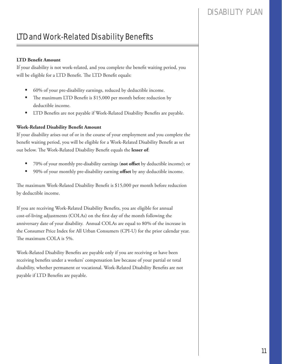## DISARII ITY PLAN

# LTD and Work-Related Disability Benefits

#### **LTD Benefit Amount**

If your disability is not work-related, and you complete the benefit waiting period, you will be eligible for a LTD Benefit. The LTD Benefit equals:

- 60% of your pre-disability earnings, reduced by deductible income.
- The maximum LTD Benefit is \$15,000 per month before reduction by deductible income.
- LTD Benefits are not payable if Work-Related Disability Benefits are payable.

#### **Work-Related Disability Benefi t Amount**

If your disability arises out of or in the course of your employment and you complete the benefit waiting period, you will be eligible for a Work-Related Disability Benefit as set out below. The Work-Related Disability Benefit equals the lesser of:

- 70% of your monthly pre-disability earnings (**not off set** by deductible income); or
- 90% of your monthly pre-disability earning **offset** by any deductible income.

The maximum Work-Related Disability Benefit is \$15,000 per month before reduction by deductible income.

If you are receiving Work-Related Disability Benefits, you are eligible for annual cost-of-living adjustments (COLAs) on the first day of the month following the anniversary date of your disability. Annual COLAs are equal to 80% of the increase in the Consumer Price Index for All Urban Consumers (CPI-U) for the prior calendar year. The maximum COLA is 5%.

Work-Related Disability Benefits are payable only if you are receiving or have been receiving benefits under a workers' compensation law because of your partial or total disability, whether permanent or vocational. Work-Related Disability Benefits are not payable if LTD Benefits are payable.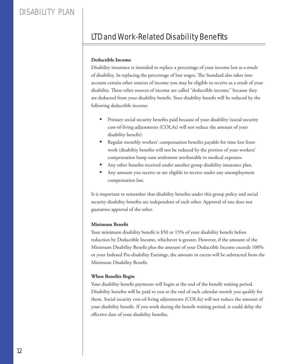# LTD and Work-Related Disability Benefits

#### **Deductible Income**

Disability insurance is intended to replace a percentage of your income lost as a result of disability. In replacing the percentage of lost wages, The Standard also takes into account certain other sources of income you may be eligible to receive as a result of your disability. These other sources of income are called "deductible income," because they are deducted from your disability benefit. Your disability benefit will be reduced by the following deductible income:

- Primary social security benefits paid because of your disability (social security cost-of-living adjustments (COLAs) will not reduce the amount of your disability benefit).
- Regular monthly workers' compensation benefits payable for time lost from work (disability benefits will not be reduced by the portion of your workers' compensation lump sum settlement attributable to medical expenses.
- Any other benefits received under another group disability insurance plan.
- Any amount you receive or are eligible to receive under any unemployment compensation law.

It is important to remember that disability benefits under this group policy and social security disability benefits are independent of each other. Approval of one does not guarantee approval of the other.

#### **Minimum Benefit**

Your minimum disability benefit is \$50 or 15% of your disability benefit before reduction by Deductible Income, whichever is greater. However, if the amount of the Minimum Disability Benefit plus the amount of your Deductible Income exceeds 100% or your Indexed Pre-disability Earnings, the amount in excess will be subtracted from the Minimum Disability Benefit.

#### **When Benefits Begin**

Your disability benefit payments will begin at the end of the benefit waiting period. Disability benefits will be paid to you at the end of each calendar month you qualify for them. Social security cost-of-living adjustments (COLAs) will not reduce the amount of your disability benefit. If you work during the benefit waiting period, it could delay the effective date of your disability benefits.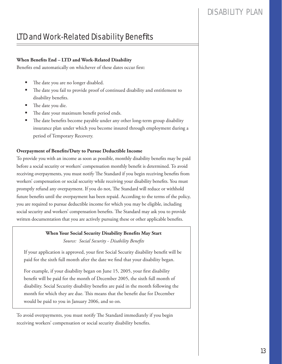### DISARII ITY PLAN

# LTD and Work-Related Disability Benefits

#### When Benefits End - LTD and Work-Related Disability

Benefits end automatically on whichever of these dates occur first:

- The date you are no longer disabled.
- The date you fail to provide proof of continued disability and entitlement to disability benefits.
- The date you die.
- The date your maximum benefit period ends.
- The date benefits become payable under any other long-term group disability insurance plan under which you become insured through employment during a period of Temporary Recovery.

#### **Overpayment of Benefits/Duty to Pursue Deductible Income**

To provide you with an income as soon as possible, monthly disability benefits may be paid before a social security or workers' compensation monthly benefit is determined. To avoid receiving overpayments, you must notify The Standard if you begin receiving benefits from workers' compensation or social security while receiving your disability benefits. You must promptly refund any overpayment. If you do not, The Standard will reduce or withhold future benefits until the overpayment has been repaid. According to the terms of the policy, you are required to pursue deductible income for which you may be eligible, including social security and workers' compensation benefits. The Standard may ask you to provide written documentation that you are actively pursuing these or other applicable benefits.

#### **When Your Social Security Disability Benefits May Start**

Source: Social Security - Disability Benefits

If your application is approved, your first Social Security disability benefit will be paid for the sixth full month after the date we find that your disability began.

For example, if your disability began on June 15, 2005, your first disability benefit will be paid for the month of December 2005, the sixth full month of disability. Social Security disability benefits are paid in the month following the month for which they are due. This means that the benefit due for December would be paid to you in January 2006, and so on.

To avoid overpayments, you must notify The Standard immediately if you begin receiving workers' compensation or social security disability benefits.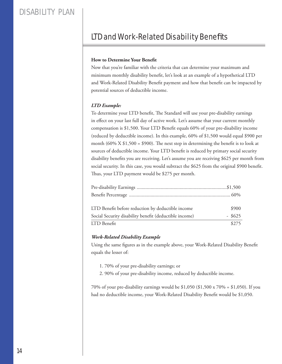# LTD and Work-Related Disability Benefits

#### **How to Determine Your Benefit**

Now that you're familiar with the criteria that can determine your maximum and minimum monthly disability benefit, let's look at an example of a hypothetical LTD and Work-Related Disability Benefit payment and how that benefit can be impacted by potential sources of deductible income.

#### *LTD Example:*

To determine your LTD benefit, The Standard will use your pre-disability earnings in effect on your last full day of active work. Let's assume that your current monthly compensation is \$1,500. Your LTD Benefit equals 60% of your pre-disability income (reduced by deductible income). In this example, 60% of \$1,500 would equal \$900 per month (60% X  $$1,500 = $900$ ). The next step in determining the benefit is to look at sources of deductible income. Your LTD benefit is reduced by primary social security disability benefits you are receiving. Let's assume you are receiving \$625 per month from social security. In this case, you would subtract the \$625 from the original \$900 benefit. Thus, your LTD payment would be \$275 per month.

| LTD Benefit before reduction by deductible income      | \$900     |
|--------------------------------------------------------|-----------|
| Social Security disability benefit (deductible income) | $-$ \$625 |
| LTD Benefit                                            | \$275     |

#### *Work-Related Disability Example*

Using the same figures as in the example above, your Work-Related Disability Benefit equals the lesser of:

- 1. 70% of your pre-disability earnings; or
- 2. 90% of your pre-disability income, reduced by deductible income.

70% of your pre-disability earnings would be \$1,050 (\$1,500 x 70% = \$1,050). If you had no deductible income, your Work-Related Disability Benefit would be \$1,050.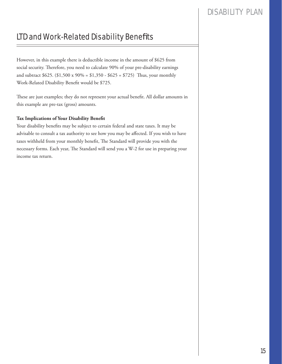# LTD and Work-Related Disability Benefits

However, in this example there is deductible income in the amount of \$625 from social security. Therefore, you need to calculate 90% of your pre-disability earnings and subtract \$625. (\$1,500 x 90% = \$1,350 - \$625 = \$725) Thus, your monthly Work-Related Disability Benefit would be \$725.

These are just examples; they do not represent your actual benefit. All dollar amounts in this example are pre-tax (gross) amounts.

#### **Tax Implications of Your Disability Benefit**

Your disability benefits may be subject to certain federal and state taxes. It may be advisable to consult a tax authority to see how you may be affected. If you wish to have taxes withheld from your monthly benefit, The Standard will provide you with the necessary forms. Each year, The Standard will send you a W-2 for use in preparing your income tax return.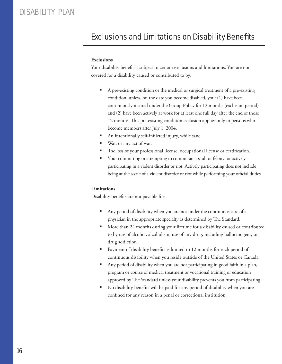# **Exclusions and Limitations on Disability Benefits**

#### **Exclusions**

Your disability benefit is subject to certain exclusions and limitations. You are not covered for a disability caused or contributed to by:

- A pre-existing condition or the medical or surgical treatment of a pre-existing condition, unless, on the date you become disabled, you: (1) have been continuously insured under the Group Policy for 12 months (exclusion period) and (2) have been actively at work for at least one full day after the end of those 12 months. This pre-existing condition exclusion applies only to persons who become members after July 1, 2004.
- An intentionally self-inflicted injury, while sane.
- War, or any act of war.
- The loss of your professional license, occupational license or certification.
- Your committing or attempting to commit an assault or felony, or actively participating in a violent disorder or riot. Actively participating does not include being at the scene of a violent disorder or riot while performing your official duties.

#### **Limitations**

Disability benefits are not payable for:

- Any period of disability when you are not under the continuous care of a physician in the appropriate specialty as determined by The Standard.
- **More than 24 months during your lifetime for a disability caused or contributed** to by use of alcohol, alcoholism, use of any drug, including hallucinogens, or drug addiction.
- Payment of disability benefits is limited to 12 months for each period of continuous disability when you reside outside of the United States or Canada.
- Any period of disability when you are not participating in good faith in a plan, program or course of medical treatment or vocational training or education approved by The Standard unless your disability prevents you from participating.
- No disability benefits will be paid for any period of disability when you are confined for any reason in a penal or correctional institution.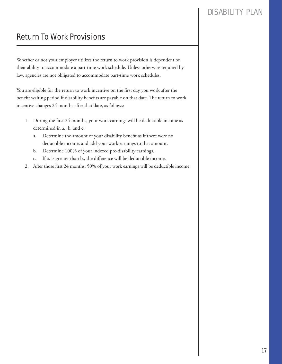# Return To Work Provisions

Whether or not your employer utilizes the return to work provision is dependent on their ability to accommodate a part-time work schedule. Unless otherwise required by law, agencies are not obligated to accommodate part-time work schedules.

You are eligible for the return to work incentive on the first day you work after the benefit waiting period if disability benefits are payable on that date. The return to work incentive changes 24 months after that date, as follows:

- 1. During the first 24 months, your work earnings will be deductible income as determined in a., b. and c:
	- a. Determine the amount of your disability benefit as if there were no deductible income, and add your work earnings to that amount.
	- b. Determine 100% of your indexed pre-disability earnings.
	- c. If a. is greater than b., the difference will be deductible income.
- 2. After those first 24 months, 50% of your work earnings will be deductible income.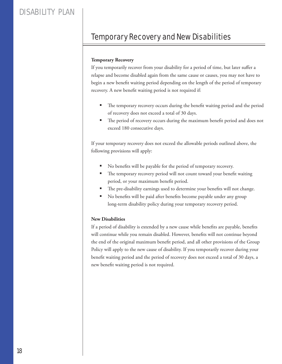# Temporary Recovery and New Disabilities

#### **Temporary Recovery**

If you temporarily recover from your disability for a period of time, but later suffer a relapse and become disabled again from the same cause or causes, you may not have to begin a new benefit waiting period depending on the length of the period of temporary recovery. A new benefit waiting period is not required if:

- **The temporary recovery occurs during the benefit waiting period and the period** of recovery does not exceed a total of 30 days.
- The period of recovery occurs during the maximum benefit period and does not exceed 180 consecutive days.

If your temporary recovery does not exceed the allowable periods outlined above, the following provisions will apply:

- No benefits will be payable for the period of temporary recovery.
- The temporary recovery period will not count toward your benefit waiting period, or your maximum benefit period.
- The pre-disability earnings used to determine your benefits will not change.
- No benefits will be paid after benefits become payable under any group long-term disability policy during your temporary recovery period.

#### **New Disabilities**

If a period of disability is extended by a new cause while benefits are payable, benefits will continue while you remain disabled. However, benefits will not continue beyond the end of the original maximum benefit period, and all other provisions of the Group Policy will apply to the new cause of disability. If you temporarily recover during your benefit waiting period and the period of recovery does not exceed a total of 30 days, a new benefit waiting period is not required.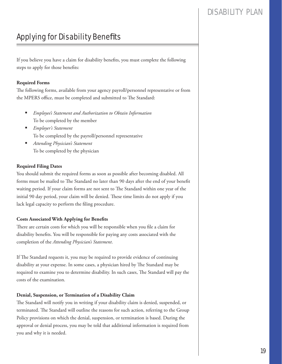# **Applying for Disability Benefits**

If you believe you have a claim for disability benefits, you must complete the following steps to apply for those benefits:

#### **Required Forms**

The following forms, available from your agency payroll/personnel representative or from the MPERS office, must be completed and submitted to The Standard:

- *Employee's Statement and Authorization to Obtain Information* To be completed by the member
- *Employer's Statement* To be completed by the payroll/personnel representative
- *Attending Physician's Statement* To be completed by the physician

#### **Required Filing Dates**

You should submit the required forms as soon as possible after becoming disabled. All forms must be mailed to The Standard no later than 90 days after the end of your benefit waiting period. If your claim forms are not sent to The Standard within one year of the initial 90 day period, your claim will be denied. These time limits do not apply if you lack legal capacity to perform the filing procedure.

#### **Costs Associated With Applying for Benefits**

There are certain costs for which you will be responsible when you file a claim for disability benefits. You will be responsible for paying any costs associated with the completion of the *Attending Physician's Statement*.

If The Standard requests it, you may be required to provide evidence of continuing disability at your expense. In some cases, a physician hired by The Standard may be required to examine you to determine disability. In such cases, The Standard will pay the costs of the examination.

#### **Denial, Suspension, or Termination of a Disability Claim**

The Standard will notify you in writing if your disability claim is denied, suspended, or terminated. The Standard will outline the reasons for such action, referring to the Group Policy provisions on which the denial, suspension, or termination is based. During the approval or denial process, you may be told that additional information is required from you and why it is needed.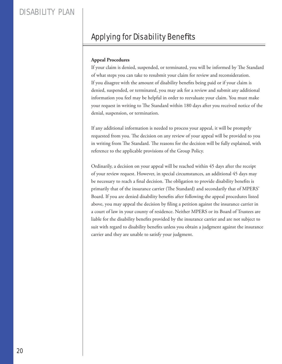# **Applying for Disability Benefits**

#### **Appeal Procedures**

If your claim is denied, suspended, or terminated, you will be informed by The Standard of what steps you can take to resubmit your claim for review and reconsideration. If you disagree with the amount of disability benefits being paid or if your claim is denied, suspended, or terminated, you may ask for a review and submit any additional information you feel may be helpful in order to reevaluate your claim. You must make your request in writing to The Standard within 180 days after you received notice of the denial, suspension, or termination.

If any additional information is needed to process your appeal, it will be promptly requested from you. The decision on any review of your appeal will be provided to you in writing from The Standard. The reasons for the decision will be fully explained, with reference to the applicable provisions of the Group Policy.

Ordinarily, a decision on your appeal will be reached within 45 days after the receipt of your review request. However, in special circumstances, an additional 45 days may be necessary to reach a final decision. The obligation to provide disability benefits is primarily that of the insurance carrier (The Standard) and secondarily that of MPERS' Board. If you are denied disability benefits after following the appeal procedures listed above, you may appeal the decision by filing a petition against the insurance carrier in a court of law in your county of residence. Neither MPERS or its Board of Trustees are liable for the disability benefits provided by the insurance carrier and are not subject to suit with regard to disability benefits unless you obtain a judgment against the insurance carrier and they are unable to satisfy your judgment.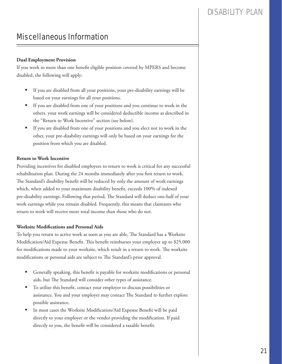# Miscellaneous Information

#### **Dual Employment Provision**

If you work in more than one benefit eligible position covered by MPERS and become disabled, the following will apply:

- If you are disabled from all your positions, your pre-disability earnings will be based on your earnings for all your positions.
- If you are disabled from one of your positions and you continue to work in the others, your work earnings will be considered deductible income as described in the "Return to Work Incentive" section (see below).
- If you are disabled from one of your positions and you elect not to work in the other, your pre-disability earnings will only be based on your earnings for the position from which you are disabled.

#### **Return to Work Incentive**

Providing incentives for disabled employees to return to work is critical for any successful rehabilitation plan. During the 24 months immediately after you first return to work, The Standard's disability benefit will be reduced by only the amount of work earnings which, when added to your maximum disability benefit, exceeds 100% of indexed pre-disability earnings. Following that period, The Standard will deduct one-half of your work earnings while you remain disabled. Frequently, this means that claimants who return to work will receive more total income than those who do not.

#### **Worksite Modifications and Personal Aids**

To help you return to active work as soon as you are able, The Standard has a Worksite Modification/Aid Expense Benefit. This benefit reimburses your employer up to \$25,000 for modifications made to your worksite, which result in a return to work. The worksite modifications or personal aids are subject to The Standard's prior approval.

- Generally speaking, this benefit is payable for worksite modifications or personal aids, but The Standard will consider other types of assistance.
- To utilize this benefit, contact your employer to discuss possibilities or assistance. You and your employer may contact The Standard to further explore possible assistance.
- In most cases the Worksite Modification/Aid Expense Benefit will be paid directly to your employer or the vendor providing the modification. If paid directly to you, the benefit will be considered a taxable benefit.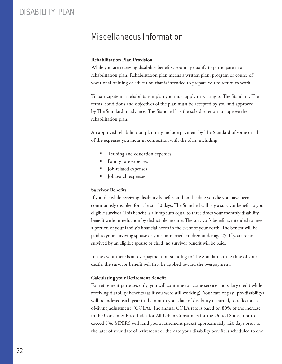# Miscellaneous Information

#### **Rehabilitation Plan Provision**

While you are receiving disability benefits, you may qualify to participate in a rehabilitation plan. Rehabilitation plan means a written plan, program or course of vocational training or education that is intended to prepare you to return to work.

To participate in a rehabilitation plan you must apply in writing to The Standard. The terms, conditions and objectives of the plan must be accepted by you and approved by The Standard in advance. The Standard has the sole discretion to approve the rehabilitation plan.

An approved rehabilitation plan may include payment by The Standard of some or all of the expenses you incur in connection with the plan, including:

- Training and education expenses
- Family care expenses
- Job-related expenses
- Job search expenses

#### **Survivor Benefits**

If you die while receiving disability benefits, and on the date you die you have been continuously disabled for at least 180 days, The Standard will pay a survivor benefit to your eligible survivor. This benefit is a lump sum equal to three times your monthly disability benefit without reduction by deductible income. The survivor's benefit is intended to meet a portion of your family's financial needs in the event of your death. The benefit will be paid to your surviving spouse or your unmarried children under age 25. If you are not survived by an eligible spouse or child, no survivor benefit will be paid.

In the event there is an overpayment outstanding to The Standard at the time of your death, the survivor benefit will first be applied toward the overpayment.

#### **Calculating your Retirement Benefit**

For retirement purposes only, you will continue to accrue service and salary credit while receiving disability benefits (as if you were still working). Your rate of pay (pre-disability) will be indexed each year in the month your date of disability occurred, to reflect a costof-living adjustment (COLA). The annual COLA rate is based on 80% of the increase in the Consumer Price Index for All Urban Consumers for the United States, not to exceed 5%. MPERS will send you a retirement packet approximately 120 days prior to the later of your date of retirement or the date your disability benefit is scheduled to end.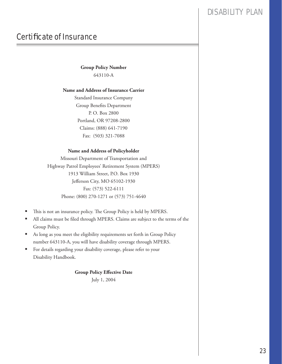# **Certificate of Insurance**

**Group Policy Number** 643110-A

#### **Name and Address of Insurance Carrier**

Standard Insurance Company Group Benefits Department P. O. Box 2800 Portland, OR 97208-2800 Claims: (888) 641-7190 Fax: (503) 321-7088

#### **Name and Address of Policyholder**

Missouri Department of Transportation and Highway Patrol Employees' Retirement System (MPERS) 1913 William Street, P.O. Box 1930 Jefferson City, MO 65102-1930 Fax: (573) 522-6111 Phone: (800) 270-1271 or (573) 751-4640

- This is not an insurance policy. The Group Policy is held by MPERS.
- All claims must be filed through MPERS. Claims are subject to the terms of the Group Policy.
- As long as you meet the eligibility requirements set forth in Group Policy number 643110-A, you will have disability coverage through MPERS.
- For details regarding your disability coverage, please refer to your Disability Handbook.

#### **Group Policy Effective Date**

July 1, 2004